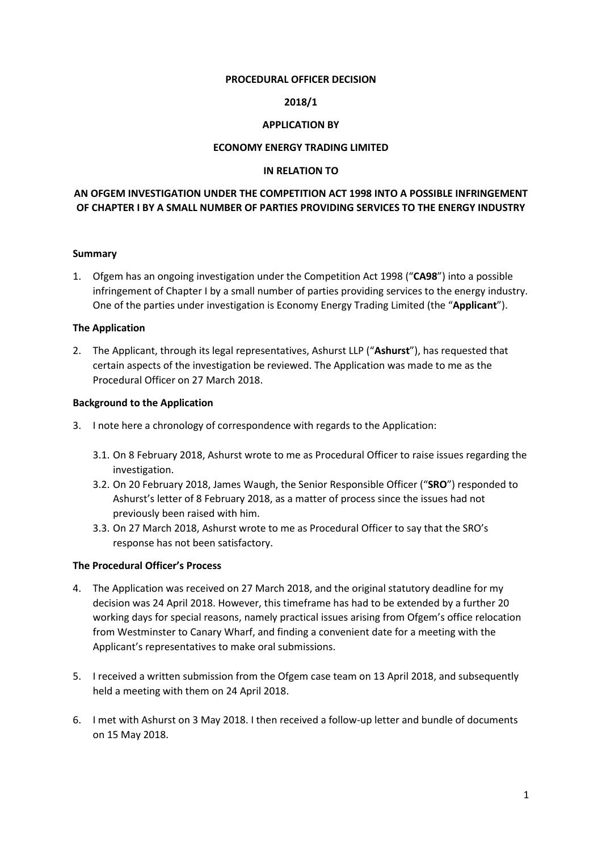#### **PROCEDURAL OFFICER DECISION**

### **2018/1**

### **APPLICATION BY**

### **ECONOMY ENERGY TRADING LIMITED**

#### **IN RELATION TO**

# **AN OFGEM INVESTIGATION UNDER THE COMPETITION ACT 1998 INTO A POSSIBLE INFRINGEMENT OF CHAPTER I BY A SMALL NUMBER OF PARTIES PROVIDING SERVICES TO THE ENERGY INDUSTRY**

#### **Summary**

1. Ofgem has an ongoing investigation under the Competition Act 1998 ("**CA98**") into a possible infringement of Chapter I by a small number of parties providing services to the energy industry. One of the parties under investigation is Economy Energy Trading Limited (the "**Applicant**").

### **The Application**

2. The Applicant, through its legal representatives, Ashurst LLP ("**Ashurst**"), has requested that certain aspects of the investigation be reviewed. The Application was made to me as the Procedural Officer on 27 March 2018.

#### **Background to the Application**

- 3. I note here a chronology of correspondence with regards to the Application:
	- 3.1. On 8 February 2018, Ashurst wrote to me as Procedural Officer to raise issues regarding the investigation.
	- 3.2. On 20 February 2018, James Waugh, the Senior Responsible Officer ("**SRO**") responded to Ashurst's letter of 8 February 2018, as a matter of process since the issues had not previously been raised with him.
	- 3.3. On 27 March 2018, Ashurst wrote to me as Procedural Officer to say that the SRO's response has not been satisfactory.

#### **The Procedural Officer's Process**

- 4. The Application was received on 27 March 2018, and the original statutory deadline for my decision was 24 April 2018. However, this timeframe has had to be extended by a further 20 working days for special reasons, namely practical issues arising from Ofgem's office relocation from Westminster to Canary Wharf, and finding a convenient date for a meeting with the Applicant's representatives to make oral submissions.
- 5. I received a written submission from the Ofgem case team on 13 April 2018, and subsequently held a meeting with them on 24 April 2018.
- 6. I met with Ashurst on 3 May 2018. I then received a follow-up letter and bundle of documents on 15 May 2018.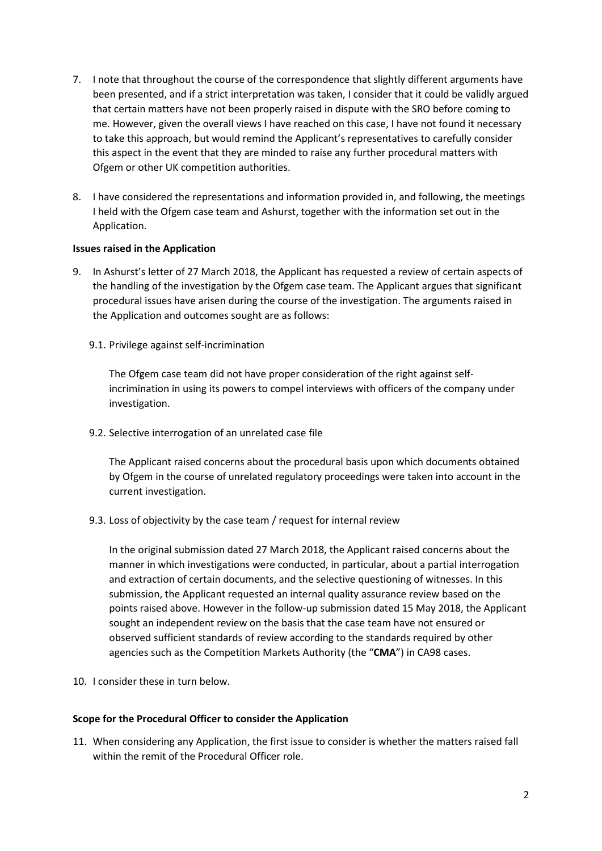- 7. I note that throughout the course of the correspondence that slightly different arguments have been presented, and if a strict interpretation was taken, I consider that it could be validly argued that certain matters have not been properly raised in dispute with the SRO before coming to me. However, given the overall views I have reached on this case, I have not found it necessary to take this approach, but would remind the Applicant's representatives to carefully consider this aspect in the event that they are minded to raise any further procedural matters with Ofgem or other UK competition authorities.
- 8. I have considered the representations and information provided in, and following, the meetings I held with the Ofgem case team and Ashurst, together with the information set out in the Application.

#### **Issues raised in the Application**

- 9. In Ashurst's letter of 27 March 2018, the Applicant has requested a review of certain aspects of the handling of the investigation by the Ofgem case team. The Applicant argues that significant procedural issues have arisen during the course of the investigation. The arguments raised in the Application and outcomes sought are as follows:
	- 9.1. Privilege against self-incrimination

The Ofgem case team did not have proper consideration of the right against selfincrimination in using its powers to compel interviews with officers of the company under investigation.

9.2. Selective interrogation of an unrelated case file

The Applicant raised concerns about the procedural basis upon which documents obtained by Ofgem in the course of unrelated regulatory proceedings were taken into account in the current investigation.

9.3. Loss of objectivity by the case team / request for internal review

In the original submission dated 27 March 2018, the Applicant raised concerns about the manner in which investigations were conducted, in particular, about a partial interrogation and extraction of certain documents, and the selective questioning of witnesses. In this submission, the Applicant requested an internal quality assurance review based on the points raised above. However in the follow-up submission dated 15 May 2018, the Applicant sought an independent review on the basis that the case team have not ensured or observed sufficient standards of review according to the standards required by other agencies such as the Competition Markets Authority (the "**CMA**") in CA98 cases.

10. I consider these in turn below.

#### **Scope for the Procedural Officer to consider the Application**

11. When considering any Application, the first issue to consider is whether the matters raised fall within the remit of the Procedural Officer role.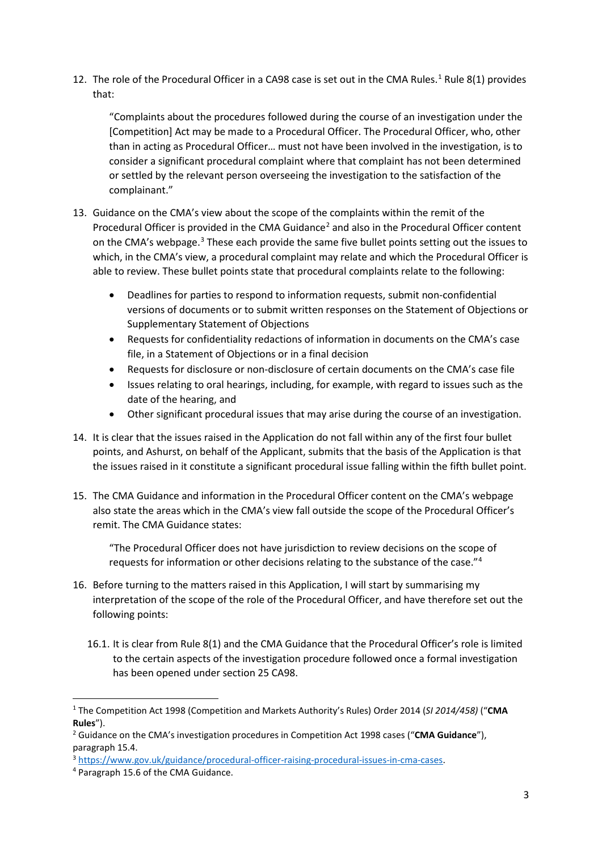[1](#page-2-0)2. The role of the Procedural Officer in a CA98 case is set out in the CMA Rules.<sup>1</sup> Rule 8(1) provides that:

"Complaints about the procedures followed during the course of an investigation under the [Competition] Act may be made to a Procedural Officer. The Procedural Officer, who, other than in acting as Procedural Officer… must not have been involved in the investigation, is to consider a significant procedural complaint where that complaint has not been determined or settled by the relevant person overseeing the investigation to the satisfaction of the complainant."

- 13. Guidance on the CMA's view about the scope of the complaints within the remit of the Procedural Officer is provided in the CMA Guidance<sup>[2](#page-2-1)</sup> and also in the Procedural Officer content on the CMA's webpage.<sup>[3](#page-2-2)</sup> These each provide the same five bullet points setting out the issues to which, in the CMA's view, a procedural complaint may relate and which the Procedural Officer is able to review. These bullet points state that procedural complaints relate to the following:
	- Deadlines for parties to respond to information requests, submit non-confidential versions of documents or to submit written responses on the Statement of Objections or Supplementary Statement of Objections
	- Requests for confidentiality redactions of information in documents on the CMA's case file, in a Statement of Objections or in a final decision
	- Requests for disclosure or non-disclosure of certain documents on the CMA's case file
	- Issues relating to oral hearings, including, for example, with regard to issues such as the date of the hearing, and
	- Other significant procedural issues that may arise during the course of an investigation.
- 14. It is clear that the issues raised in the Application do not fall within any of the first four bullet points, and Ashurst, on behalf of the Applicant, submits that the basis of the Application is that the issues raised in it constitute a significant procedural issue falling within the fifth bullet point.
- 15. The CMA Guidance and information in the Procedural Officer content on the CMA's webpage also state the areas which in the CMA's view fall outside the scope of the Procedural Officer's remit. The CMA Guidance states:

"The Procedural Officer does not have jurisdiction to review decisions on the scope of requests for information or other decisions relating to the substance of the case."[4](#page-2-3)

- 16. Before turning to the matters raised in this Application, I will start by summarising my interpretation of the scope of the role of the Procedural Officer, and have therefore set out the following points:
	- 16.1. It is clear from Rule 8(1) and the CMA Guidance that the Procedural Officer's role is limited to the certain aspects of the investigation procedure followed once a formal investigation has been opened under section 25 CA98.

<span id="page-2-0"></span> <sup>1</sup> The Competition Act 1998 (Competition and Markets Authority's Rules) Order 2014 (*SI 2014/458)* ("**CMA Rules**").

<span id="page-2-1"></span><sup>2</sup> Guidance on the CMA's investigation procedures in Competition Act 1998 cases ("**CMA Guidance**"), paragraph 15.4.

<span id="page-2-3"></span><span id="page-2-2"></span><sup>&</sup>lt;sup>3</sup> [https://www.gov.uk/guidance/procedural-officer-raising-procedural-issues-in-cma-cases.](https://www.gov.uk/guidance/procedural-officer-raising-procedural-issues-in-cma-cases)<br><sup>4</sup> Paragraph 15.6 of the CMA Guidance.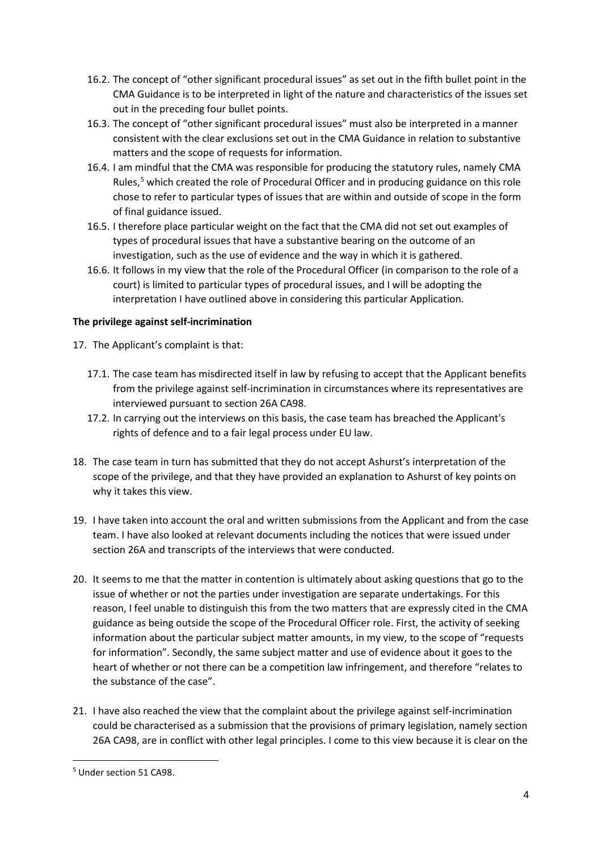- 16.2. The concept of "other significant procedural issues" as set out in the fifth bullet point in the CMA Guidance is to be interpreted in light of the nature and characteristics of the issues set out in the preceding four bullet points.
- 16.3. The concept of "other significant procedural issues" must also be interpreted in a manner consistent with the clear exclusions set out in the CMA Guidance in relation to substantive matters and the scope of requests for information.
- 16.4. I am mindful that the CMA was responsible for producing the statutory rules, namely CMA Rules, [5](#page-3-0) which created the role of Procedural Officer and in producing guidance on this role chose to refer to particular types of issues that are within and outside of scope in the form of final guidance issued.
- 16.5. I therefore place particular weight on the fact that the CMA did not set out examples of types of procedural issues that have a substantive bearing on the outcome of an investigation, such as the use of evidence and the way in which it is gathered.
- 16.6. It follows in my view that the role of the Procedural Officer (in comparison to the role of a court) is limited to particular types of procedural issues, and I will be adopting the interpretation I have outlined above in considering this particular Application.

# **The privilege against self-incrimination**

- 17. The Applicant's complaint is that:
	- 17.1. The case team has misdirected itself in law by refusing to accept that the Applicant benefits from the privilege against self-incrimination in circumstances where its representatives are interviewed pursuant to section 26A CA98.
	- 17.2. In carrying out the interviews on this basis, the case team has breached the Applicant's rights of defence and to a fair legal process under EU law.
- 18. The case team in turn has submitted that they do not accept Ashurst's interpretation of the scope of the privilege, and that they have provided an explanation to Ashurst of key points on why it takes this view.
- 19. I have taken into account the oral and written submissions from the Applicant and from the case team. I have also looked at relevant documents including the notices that were issued under section 26A and transcripts of the interviews that were conducted.
- 20. It seems to me that the matter in contention is ultimately about asking questions that go to the issue of whether or not the parties under investigation are separate undertakings. For this reason, I feel unable to distinguish this from the two matters that are expressly cited in the CMA guidance as being outside the scope of the Procedural Officer role. First, the activity of seeking information about the particular subject matter amounts, in my view, to the scope of "requests for information". Secondly, the same subject matter and use of evidence about it goes to the heart of whether or not there can be a competition law infringement, and therefore "relates to the substance of the case".
- 21. I have also reached the view that the complaint about the privilege against self-incrimination could be characterised as a submission that the provisions of primary legislation, namely section 26A CA98, are in conflict with other legal principles. I come to this view because it is clear on the

<span id="page-3-0"></span> <sup>5</sup> Under section 51 CA98.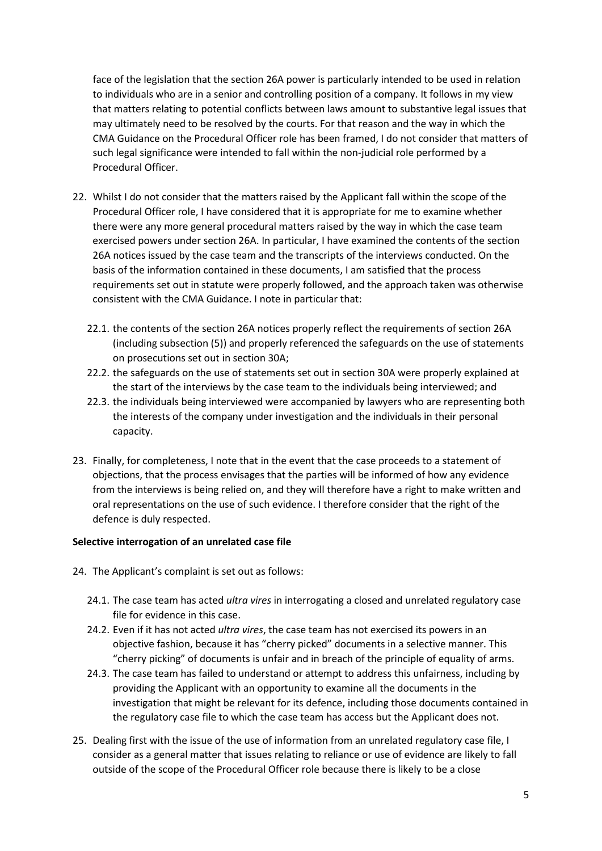face of the legislation that the section 26A power is particularly intended to be used in relation to individuals who are in a senior and controlling position of a company. It follows in my view that matters relating to potential conflicts between laws amount to substantive legal issues that may ultimately need to be resolved by the courts. For that reason and the way in which the CMA Guidance on the Procedural Officer role has been framed, I do not consider that matters of such legal significance were intended to fall within the non-judicial role performed by a Procedural Officer.

- 22. Whilst I do not consider that the matters raised by the Applicant fall within the scope of the Procedural Officer role, I have considered that it is appropriate for me to examine whether there were any more general procedural matters raised by the way in which the case team exercised powers under section 26A. In particular, I have examined the contents of the section 26A notices issued by the case team and the transcripts of the interviews conducted. On the basis of the information contained in these documents, I am satisfied that the process requirements set out in statute were properly followed, and the approach taken was otherwise consistent with the CMA Guidance. I note in particular that:
	- 22.1. the contents of the section 26A notices properly reflect the requirements of section 26A (including subsection (5)) and properly referenced the safeguards on the use of statements on prosecutions set out in section 30A;
	- 22.2. the safeguards on the use of statements set out in section 30A were properly explained at the start of the interviews by the case team to the individuals being interviewed; and
	- 22.3. the individuals being interviewed were accompanied by lawyers who are representing both the interests of the company under investigation and the individuals in their personal capacity.
- 23. Finally, for completeness, I note that in the event that the case proceeds to a statement of objections, that the process envisages that the parties will be informed of how any evidence from the interviews is being relied on, and they will therefore have a right to make written and oral representations on the use of such evidence. I therefore consider that the right of the defence is duly respected.

#### **Selective interrogation of an unrelated case file**

- 24. The Applicant's complaint is set out as follows:
	- 24.1. The case team has acted *ultra vires* in interrogating a closed and unrelated regulatory case file for evidence in this case.
	- 24.2. Even if it has not acted *ultra vires*, the case team has not exercised its powers in an objective fashion, because it has "cherry picked" documents in a selective manner. This "cherry picking" of documents is unfair and in breach of the principle of equality of arms.
	- 24.3. The case team has failed to understand or attempt to address this unfairness, including by providing the Applicant with an opportunity to examine all the documents in the investigation that might be relevant for its defence, including those documents contained in the regulatory case file to which the case team has access but the Applicant does not.
- 25. Dealing first with the issue of the use of information from an unrelated regulatory case file, I consider as a general matter that issues relating to reliance or use of evidence are likely to fall outside of the scope of the Procedural Officer role because there is likely to be a close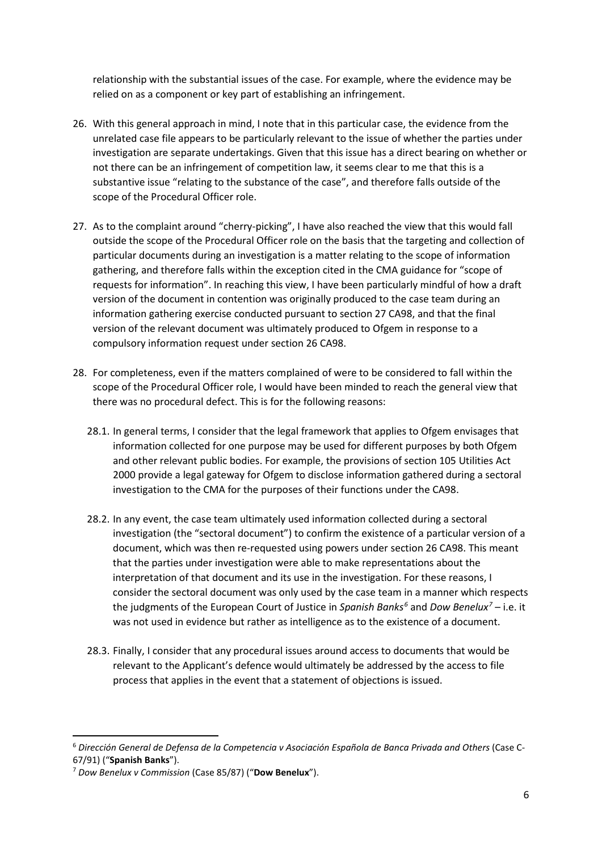relationship with the substantial issues of the case. For example, where the evidence may be relied on as a component or key part of establishing an infringement.

- 26. With this general approach in mind, I note that in this particular case, the evidence from the unrelated case file appears to be particularly relevant to the issue of whether the parties under investigation are separate undertakings. Given that this issue has a direct bearing on whether or not there can be an infringement of competition law, it seems clear to me that this is a substantive issue "relating to the substance of the case", and therefore falls outside of the scope of the Procedural Officer role.
- 27. As to the complaint around "cherry-picking", I have also reached the view that this would fall outside the scope of the Procedural Officer role on the basis that the targeting and collection of particular documents during an investigation is a matter relating to the scope of information gathering, and therefore falls within the exception cited in the CMA guidance for "scope of requests for information". In reaching this view, I have been particularly mindful of how a draft version of the document in contention was originally produced to the case team during an information gathering exercise conducted pursuant to section 27 CA98, and that the final version of the relevant document was ultimately produced to Ofgem in response to a compulsory information request under section 26 CA98.
- 28. For completeness, even if the matters complained of were to be considered to fall within the scope of the Procedural Officer role, I would have been minded to reach the general view that there was no procedural defect. This is for the following reasons:
	- 28.1. In general terms, I consider that the legal framework that applies to Ofgem envisages that information collected for one purpose may be used for different purposes by both Ofgem and other relevant public bodies. For example, the provisions of section 105 Utilities Act 2000 provide a legal gateway for Ofgem to disclose information gathered during a sectoral investigation to the CMA for the purposes of their functions under the CA98.
	- 28.2. In any event, the case team ultimately used information collected during a sectoral investigation (the "sectoral document") to confirm the existence of a particular version of a document, which was then re-requested using powers under section 26 CA98. This meant that the parties under investigation were able to make representations about the interpretation of that document and its use in the investigation. For these reasons, I consider the sectoral document was only used by the case team in a manner which respects the judgments of the European Court of Justice in *Spanish Banks[6](#page-5-0)* and *Dow Benelux[7](#page-5-1)* – i.e. it was not used in evidence but rather as intelligence as to the existence of a document.
	- 28.3. Finally, I consider that any procedural issues around access to documents that would be relevant to the Applicant's defence would ultimately be addressed by the access to file process that applies in the event that a statement of objections is issued.

<span id="page-5-0"></span> <sup>6</sup> *Dirección General de Defensa de la Competencia v Asociación Española de Banca Privada and Others* (Case C-67/91) ("**Spanish Banks**").

<span id="page-5-1"></span><sup>7</sup> *Dow Benelux v Commission* (Case 85/87) ("**Dow Benelux**").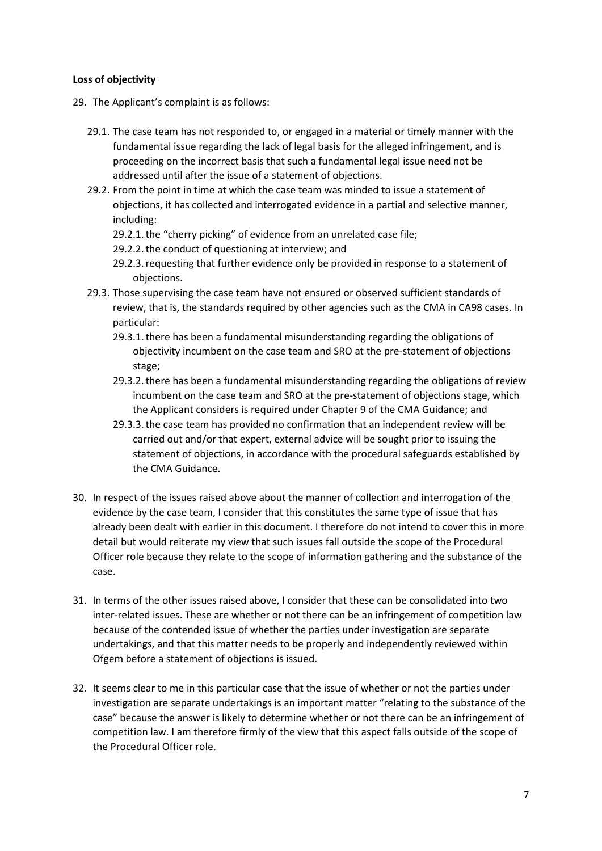## **Loss of objectivity**

- 29. The Applicant's complaint is as follows:
	- 29.1. The case team has not responded to, or engaged in a material or timely manner with the fundamental issue regarding the lack of legal basis for the alleged infringement, and is proceeding on the incorrect basis that such a fundamental legal issue need not be addressed until after the issue of a statement of objections.
	- 29.2. From the point in time at which the case team was minded to issue a statement of objections, it has collected and interrogated evidence in a partial and selective manner, including:
		- 29.2.1.the "cherry picking" of evidence from an unrelated case file;
		- 29.2.2.the conduct of questioning at interview; and
		- 29.2.3.requesting that further evidence only be provided in response to a statement of objections.
	- 29.3. Those supervising the case team have not ensured or observed sufficient standards of review, that is, the standards required by other agencies such as the CMA in CA98 cases. In particular:
		- 29.3.1.there has been a fundamental misunderstanding regarding the obligations of objectivity incumbent on the case team and SRO at the pre-statement of objections stage;
		- 29.3.2.there has been a fundamental misunderstanding regarding the obligations of review incumbent on the case team and SRO at the pre-statement of objections stage, which the Applicant considers is required under Chapter 9 of the CMA Guidance; and
		- 29.3.3.the case team has provided no confirmation that an independent review will be carried out and/or that expert, external advice will be sought prior to issuing the statement of objections, in accordance with the procedural safeguards established by the CMA Guidance.
- 30. In respect of the issues raised above about the manner of collection and interrogation of the evidence by the case team, I consider that this constitutes the same type of issue that has already been dealt with earlier in this document. I therefore do not intend to cover this in more detail but would reiterate my view that such issues fall outside the scope of the Procedural Officer role because they relate to the scope of information gathering and the substance of the case.
- 31. In terms of the other issues raised above, I consider that these can be consolidated into two inter-related issues. These are whether or not there can be an infringement of competition law because of the contended issue of whether the parties under investigation are separate undertakings, and that this matter needs to be properly and independently reviewed within Ofgem before a statement of objections is issued.
- 32. It seems clear to me in this particular case that the issue of whether or not the parties under investigation are separate undertakings is an important matter "relating to the substance of the case" because the answer is likely to determine whether or not there can be an infringement of competition law. I am therefore firmly of the view that this aspect falls outside of the scope of the Procedural Officer role.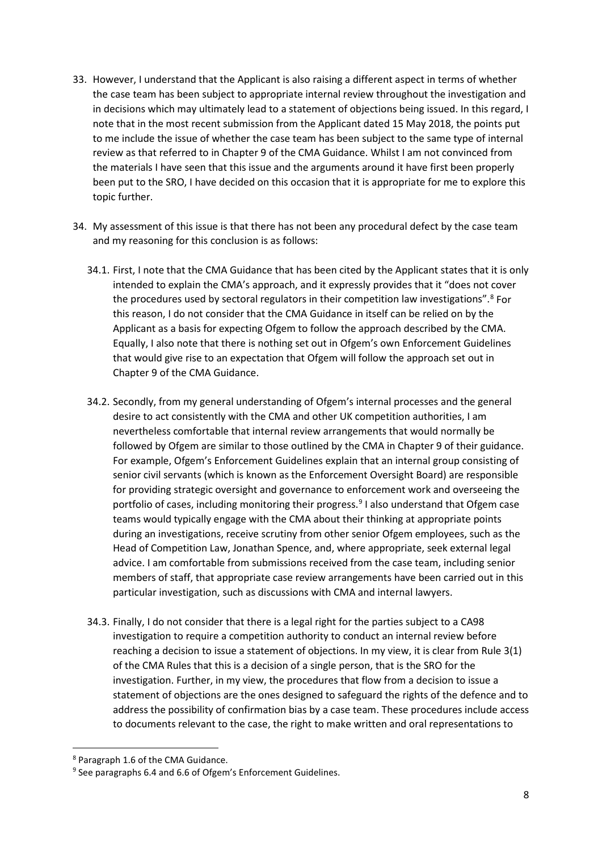- 33. However, I understand that the Applicant is also raising a different aspect in terms of whether the case team has been subject to appropriate internal review throughout the investigation and in decisions which may ultimately lead to a statement of objections being issued. In this regard, I note that in the most recent submission from the Applicant dated 15 May 2018, the points put to me include the issue of whether the case team has been subject to the same type of internal review as that referred to in Chapter 9 of the CMA Guidance. Whilst I am not convinced from the materials I have seen that this issue and the arguments around it have first been properly been put to the SRO, I have decided on this occasion that it is appropriate for me to explore this topic further.
- 34. My assessment of this issue is that there has not been any procedural defect by the case team and my reasoning for this conclusion is as follows:
	- 34.1. First, I note that the CMA Guidance that has been cited by the Applicant states that it is only intended to explain the CMA's approach, and it expressly provides that it "does not cover the procedures used by sectoral regulators in their competition law investigations". [8](#page-7-0) For this reason, I do not consider that the CMA Guidance in itself can be relied on by the Applicant as a basis for expecting Ofgem to follow the approach described by the CMA. Equally, I also note that there is nothing set out in Ofgem's own Enforcement Guidelines that would give rise to an expectation that Ofgem will follow the approach set out in Chapter 9 of the CMA Guidance.
	- 34.2. Secondly, from my general understanding of Ofgem's internal processes and the general desire to act consistently with the CMA and other UK competition authorities, I am nevertheless comfortable that internal review arrangements that would normally be followed by Ofgem are similar to those outlined by the CMA in Chapter 9 of their guidance. For example, Ofgem's Enforcement Guidelines explain that an internal group consisting of senior civil servants (which is known as the Enforcement Oversight Board) are responsible for providing strategic oversight and governance to enforcement work and overseeing the portfolio of cases, including monitoring their progress. [9](#page-7-1) I also understand that Ofgem case teams would typically engage with the CMA about their thinking at appropriate points during an investigations, receive scrutiny from other senior Ofgem employees, such as the Head of Competition Law, Jonathan Spence, and, where appropriate, seek external legal advice. I am comfortable from submissions received from the case team, including senior members of staff, that appropriate case review arrangements have been carried out in this particular investigation, such as discussions with CMA and internal lawyers.
	- 34.3. Finally, I do not consider that there is a legal right for the parties subject to a CA98 investigation to require a competition authority to conduct an internal review before reaching a decision to issue a statement of objections. In my view, it is clear from Rule 3(1) of the CMA Rules that this is a decision of a single person, that is the SRO for the investigation. Further, in my view, the procedures that flow from a decision to issue a statement of objections are the ones designed to safeguard the rights of the defence and to address the possibility of confirmation bias by a case team. These procedures include access to documents relevant to the case, the right to make written and oral representations to

<span id="page-7-0"></span> <sup>8</sup> Paragraph 1.6 of the CMA Guidance.

<span id="page-7-1"></span><sup>9</sup> See paragraphs 6.4 and 6.6 of Ofgem's Enforcement Guidelines.